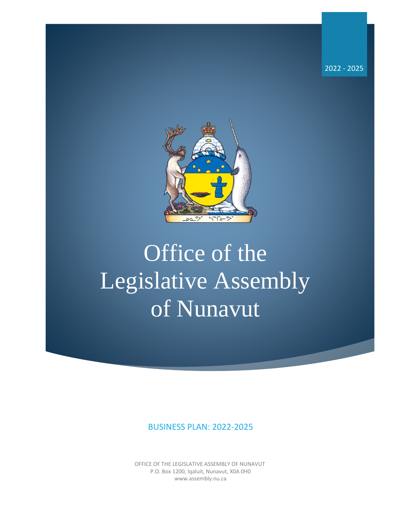2022 - 2025



# Office of the Legislative Assembly of Nunavut

BUSINESS PLAN: 2022-2025

OFFICE OF THE LEGISLATIVE ASSEMBLY OF NUNAVUT P.O. Box 1200, Iqaluit, Nunavut, X0A 0H0 www.assembly.nu.ca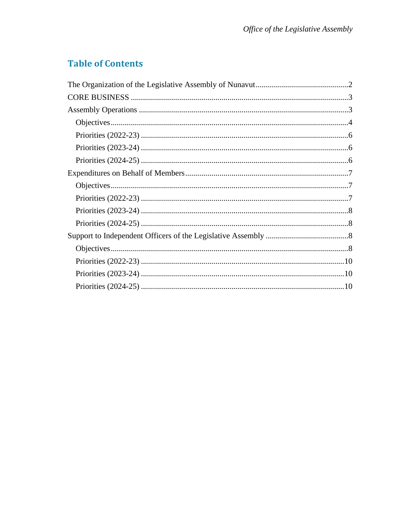## **Table of Contents**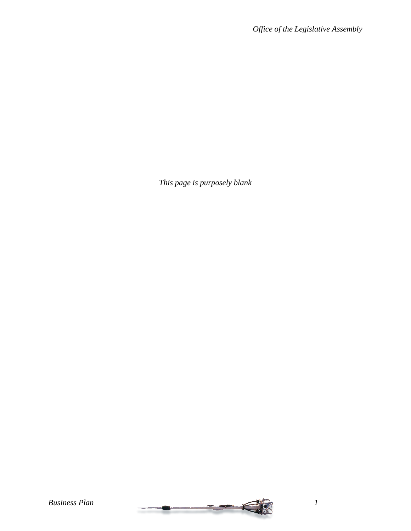*This page is purposely blank*

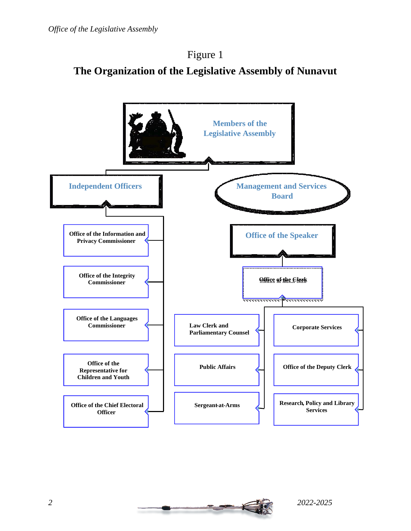

<span id="page-4-0"></span>

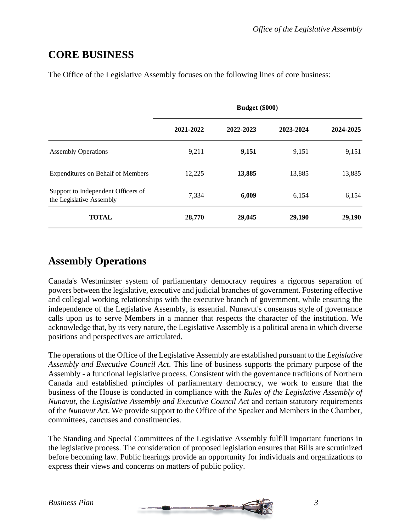# <span id="page-5-0"></span>**CORE BUSINESS**

|                                                                | <b>Budget</b> (\$000) |           |           |           |  |  |
|----------------------------------------------------------------|-----------------------|-----------|-----------|-----------|--|--|
|                                                                | 2021-2022             | 2022-2023 | 2023-2024 | 2024-2025 |  |  |
| <b>Assembly Operations</b>                                     | 9,211                 | 9,151     | 9,151     | 9,151     |  |  |
| <b>Expenditures on Behalf of Members</b>                       | 12,225                | 13,885    | 13,885    | 13,885    |  |  |
| Support to Independent Officers of<br>the Legislative Assembly | 7,334                 | 6,009     | 6,154     | 6,154     |  |  |
| <b>TOTAL</b>                                                   | 28,770                | 29,045    | 29,190    | 29,190    |  |  |

The Office of the Legislative Assembly focuses on the following lines of core business:

# <span id="page-5-1"></span>**Assembly Operations**

Canada's Westminster system of parliamentary democracy requires a rigorous separation of powers between the legislative, executive and judicial branches of government. Fostering effective and collegial working relationships with the executive branch of government, while ensuring the independence of the Legislative Assembly, is essential. Nunavut's consensus style of governance calls upon us to serve Members in a manner that respects the character of the institution. We acknowledge that, by its very nature, the Legislative Assembly is a political arena in which diverse positions and perspectives are articulated.

The operations of the Office of the Legislative Assembly are established pursuant to the *Legislative Assembly and Executive Council Act*. This line of business supports the primary purpose of the Assembly - a functional legislative process. Consistent with the governance traditions of Northern Canada and established principles of parliamentary democracy, we work to ensure that the business of the House is conducted in compliance with the *Rules of the Legislative Assembly of Nunavut*, the *Legislative Assembly and Executive Council Act* and certain statutory requirements of the *Nunavut Act*. We provide support to the Office of the Speaker and Members in the Chamber, committees, caucuses and constituencies.

The Standing and Special Committees of the Legislative Assembly fulfill important functions in the legislative process. The consideration of proposed legislation ensures that Bills are scrutinized before becoming law. Public hearings provide an opportunity for individuals and organizations to express their views and concerns on matters of public policy.

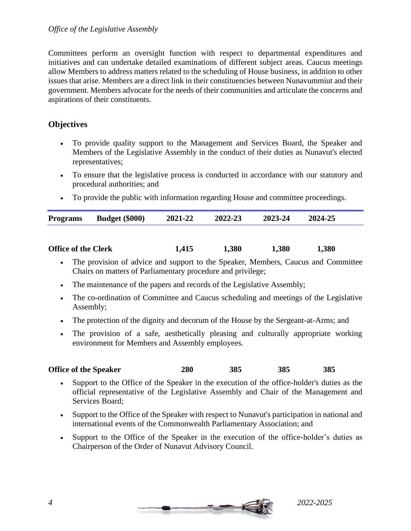#### *Office of the Legislative Assembly*

Committees perform an oversight function with respect to departmental expenditures and initiatives and can undertake detailed examinations of different subject areas. Caucus meetings allow Members to address matters related to the scheduling of House business, in addition to other issues that arise. Members are a direct link in their constituencies between Nunavummiut and their government. Members advocate for the needs of their communities and articulate the concerns and aspirations of their constituents.

## <span id="page-6-0"></span>**Objectives**

- To provide quality support to the Management and Services Board, the Speaker and Members of the Legislative Assembly in the conduct of their duties as Nunavut's elected representatives;
- To ensure that the legislative process is conducted in accordance with our statutory and procedural authorities; and
- To provide the public with information regarding House and committee proceedings.

| <b>Budget</b> (\$000)<br>2021-22<br>2022-23<br>2023-24<br><b>Programs</b> | 2024-25 |
|---------------------------------------------------------------------------|---------|
|---------------------------------------------------------------------------|---------|

| <b>Office of the Clerk</b><br>1,415<br>1,380<br>1,380 | 1,380 |
|-------------------------------------------------------|-------|
|-------------------------------------------------------|-------|

- The provision of advice and support to the Speaker, Members, Caucus and Committee Chairs on matters of Parliamentary procedure and privilege;
- The maintenance of the papers and records of the Legislative Assembly;
- The co-ordination of Committee and Caucus scheduling and meetings of the Legislative Assembly;
- The protection of the dignity and decorum of the House by the Sergeant-at-Arms; and
- The provision of a safe, aesthetically pleasing and culturally appropriate working environment for Members and Assembly employees.

| <b>Office of the Speaker</b> | 280 | 385 | 385 | 385 |
|------------------------------|-----|-----|-----|-----|
|------------------------------|-----|-----|-----|-----|

- Support to the Office of the Speaker in the execution of the office-holder's duties as the official representative of the Legislative Assembly and Chair of the Management and Services Board;
- Support to the Office of the Speaker with respect to Nunavut's participation in national and international events of the Commonwealth Parliamentary Association; and
- Support to the Office of the Speaker in the execution of the office-holder's duties as Chairperson of the Order of Nunavut Advisory Council.

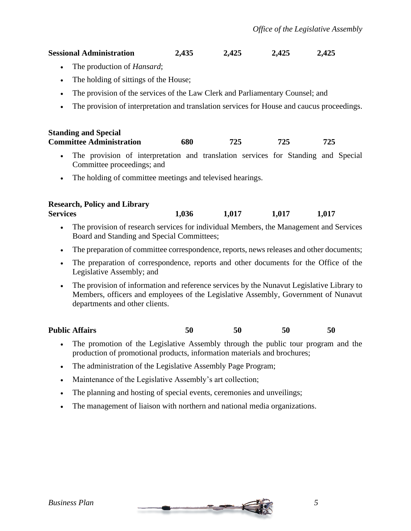### **Sessional Administration 2,435 2,425 2,425 2,425**

- The production of *Hansard*;
- The holding of sittings of the House;
- The provision of the services of the Law Clerk and Parliamentary Counsel; and
- The provision of interpretation and translation services for House and caucus proceedings.

#### **Standing and Special Committee Administration 680 725 725 725**

- The provision of interpretation and translation services for Standing and Special Committee proceedings; and
- The holding of committee meetings and televised hearings.

#### **Research, Policy and Library**

| <b>Services</b> | 1,036 | 1,017 | 1,017 | 1,017 |
|-----------------|-------|-------|-------|-------|
|                 |       |       |       |       |

- The provision of research services for individual Members, the Management and Services Board and Standing and Special Committees;
- The preparation of committee correspondence, reports, news releases and other documents;
- The preparation of correspondence, reports and other documents for the Office of the Legislative Assembly; and
- The provision of information and reference services by the Nunavut Legislative Library to Members, officers and employees of the Legislative Assembly, Government of Nunavut departments and other clients.

#### **Public Affairs 50 50 50 50**

- The promotion of the Legislative Assembly through the public tour program and the production of promotional products, information materials and brochures;
- The administration of the Legislative Assembly Page Program;
- Maintenance of the Legislative Assembly's art collection;
- The planning and hosting of special events, ceremonies and unveilings;
- The management of liaison with northern and national media organizations.

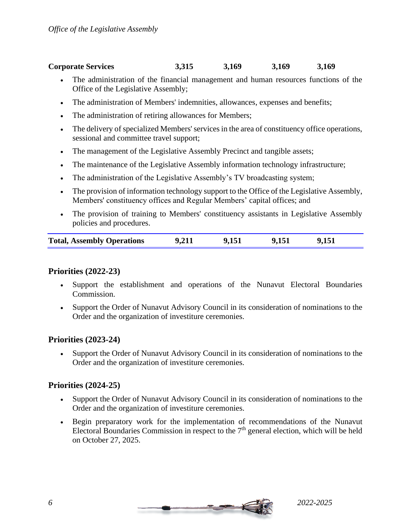## **Corporate Services 3,315 3,169 3,169 3,169**

- The administration of the financial management and human resources functions of the Office of the Legislative Assembly;
- The administration of Members' indemnities, allowances, expenses and benefits;
- The administration of retiring allowances for Members;
- The delivery of specialized Members' services in the area of constituency office operations, sessional and committee travel support;
- The management of the Legislative Assembly Precinct and tangible assets;
- The maintenance of the Legislative Assembly information technology infrastructure;
- The administration of the Legislative Assembly's TV broadcasting system;
- The provision of information technology support to the Office of the Legislative Assembly, Members' constituency offices and Regular Members' capital offices; and
- The provision of training to Members' constituency assistants in Legislative Assembly policies and procedures.

|  | <b>Total, Assembly Operations</b> | 9,211 | 9,151 | 9,151 | 9,151 |  |
|--|-----------------------------------|-------|-------|-------|-------|--|
|--|-----------------------------------|-------|-------|-------|-------|--|

## <span id="page-8-0"></span>**Priorities (2022-23)**

- Support the establishment and operations of the Nunavut Electoral Boundaries Commission.
- Support the Order of Nunavut Advisory Council in its consideration of nominations to the Order and the organization of investiture ceremonies.

## <span id="page-8-1"></span>**Priorities (2023-24)**

• Support the Order of Nunavut Advisory Council in its consideration of nominations to the Order and the organization of investiture ceremonies.

## <span id="page-8-2"></span>**Priorities (2024-25)**

- Support the Order of Nunavut Advisory Council in its consideration of nominations to the Order and the organization of investiture ceremonies.
- Begin preparatory work for the implementation of recommendations of the Nunavut Electoral Boundaries Commission in respect to the  $7<sup>th</sup>$  general election, which will be held on October 27, 2025.

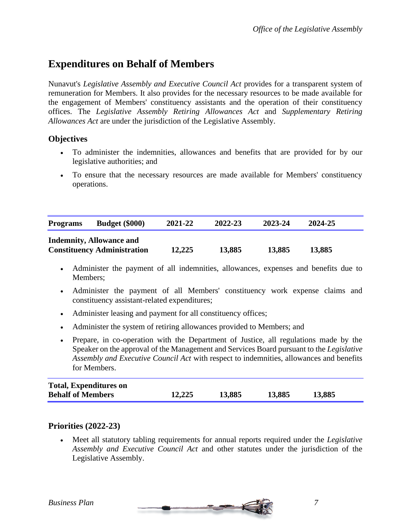## <span id="page-9-0"></span>**Expenditures on Behalf of Members**

Nunavut's *Legislative Assembly and Executive Council Act* provides for a transparent system of remuneration for Members. It also provides for the necessary resources to be made available for the engagement of Members' constituency assistants and the operation of their constituency offices. The *Legislative Assembly Retiring Allowances Act* and *Supplementary Retiring Allowances Act* are under the jurisdiction of the Legislative Assembly.

## <span id="page-9-1"></span>**Objectives**

- To administer the indemnities, allowances and benefits that are provided for by our legislative authorities; and
- To ensure that the necessary resources are made available for Members' constituency operations.

| <b>Programs</b> | <b>Budget (\$000)</b>                                                 | 2021-22 | 2022-23 | 2023-24 | 2024-25 |  |
|-----------------|-----------------------------------------------------------------------|---------|---------|---------|---------|--|
|                 | <b>Indemnity, Allowance and</b><br><b>Constituency Administration</b> | 12,225  | 13,885  | 13,885  | 13,885  |  |

- Administer the payment of all indemnities, allowances, expenses and benefits due to Members;
- Administer the payment of all Members' constituency work expense claims and constituency assistant-related expenditures;
- Administer leasing and payment for all constituency offices;
- Administer the system of retiring allowances provided to Members; and
- Prepare, in co-operation with the Department of Justice, all regulations made by the Speaker on the approval of the Management and Services Board pursuant to the *Legislative Assembly and Executive Council Act* with respect to indemnities, allowances and benefits for Members.

| <b>Total, Expenditures on</b> |        |        |        |        |
|-------------------------------|--------|--------|--------|--------|
| <b>Behalf of Members</b>      | 12,225 | 13,885 | 13,885 | 13,885 |

#### <span id="page-9-2"></span>**Priorities (2022-23)**

• Meet all statutory tabling requirements for annual reports required under the *Legislative Assembly and Executive Council Act* and other statutes under the jurisdiction of the Legislative Assembly.

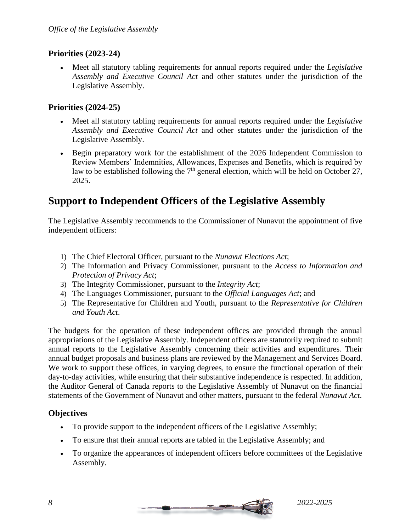## <span id="page-10-0"></span>**Priorities (2023-24)**

• Meet all statutory tabling requirements for annual reports required under the *Legislative Assembly and Executive Council Act* and other statutes under the jurisdiction of the Legislative Assembly.

## <span id="page-10-1"></span>**Priorities (2024-25)**

- Meet all statutory tabling requirements for annual reports required under the *Legislative Assembly and Executive Council Act* and other statutes under the jurisdiction of the Legislative Assembly.
- Begin preparatory work for the establishment of the 2026 Independent Commission to Review Members' Indemnities, Allowances, Expenses and Benefits, which is required by law to be established following the  $7<sup>th</sup>$  general election, which will be held on October 27, 2025.

# <span id="page-10-2"></span>**Support to Independent Officers of the Legislative Assembly**

The Legislative Assembly recommends to the Commissioner of Nunavut the appointment of five independent officers:

- 1) The Chief Electoral Officer, pursuant to the *Nunavut Elections Act*;
- 2) The Information and Privacy Commissioner, pursuant to the *Access to Information and Protection of Privacy Act*;
- 3) The Integrity Commissioner, pursuant to the *Integrity Act*;
- 4) The Languages Commissioner, pursuant to the *Official Languages Act*; and
- 5) The Representative for Children and Youth, pursuant to the *Representative for Children and Youth Act*.

The budgets for the operation of these independent offices are provided through the annual appropriations of the Legislative Assembly. Independent officers are statutorily required to submit annual reports to the Legislative Assembly concerning their activities and expenditures. Their annual budget proposals and business plans are reviewed by the Management and Services Board. We work to support these offices, in varying degrees, to ensure the functional operation of their day-to-day activities, while ensuring that their substantive independence is respected. In addition, the Auditor General of Canada reports to the Legislative Assembly of Nunavut on the financial statements of the Government of Nunavut and other matters, pursuant to the federal *Nunavut Act*.

## <span id="page-10-3"></span>**Objectives**

- To provide support to the independent officers of the Legislative Assembly;
- To ensure that their annual reports are tabled in the Legislative Assembly; and
- To organize the appearances of independent officers before committees of the Legislative Assembly.

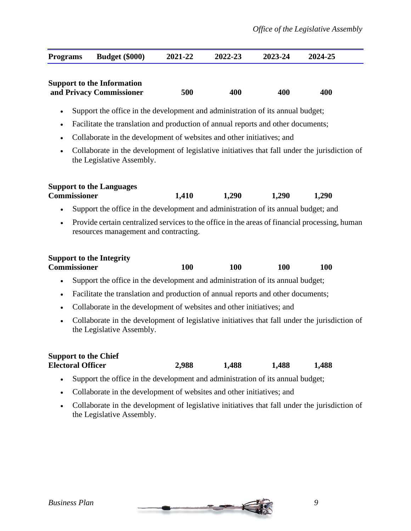| <b>Programs</b>                                         | <b>Budget (\$000)</b>                                                                                                                   | 2021-22 | 2022-23 | 2023-24 | 2024-25 |
|---------------------------------------------------------|-----------------------------------------------------------------------------------------------------------------------------------------|---------|---------|---------|---------|
|                                                         | <b>Support to the Information</b><br>and Privacy Commissioner                                                                           | 500     | 400     | 400     | 400     |
| $\bullet$                                               | Support the office in the development and administration of its annual budget;                                                          |         |         |         |         |
| $\bullet$                                               | Facilitate the translation and production of annual reports and other documents;                                                        |         |         |         |         |
|                                                         | Collaborate in the development of websites and other initiatives; and                                                                   |         |         |         |         |
|                                                         | Collaborate in the development of legislative initiatives that fall under the jurisdiction of<br>the Legislative Assembly.              |         |         |         |         |
| <b>Commissioner</b>                                     | <b>Support to the Languages</b>                                                                                                         | 1,410   | 1,290   | 1,290   | 1,290   |
| $\bullet$                                               | Support the office in the development and administration of its annual budget; and                                                      |         |         |         |         |
| $\bullet$                                               | Provide certain centralized services to the office in the areas of financial processing, human<br>resources management and contracting. |         |         |         |         |
| <b>Commissioner</b>                                     | <b>Support to the Integrity</b>                                                                                                         | 100     | 100     | 100     | 100     |
|                                                         | Support the office in the development and administration of its annual budget;                                                          |         |         |         |         |
| $\bullet$                                               | Facilitate the translation and production of annual reports and other documents;                                                        |         |         |         |         |
| $\bullet$                                               | Collaborate in the development of websites and other initiatives; and                                                                   |         |         |         |         |
| $\bullet$                                               | Collaborate in the development of legislative initiatives that fall under the jurisdiction of<br>the Legislative Assembly.              |         |         |         |         |
| <b>Support to the Chief</b><br><b>Electoral Officer</b> |                                                                                                                                         | 2,988   | 1,488   | 1,488   | 1,488   |
|                                                         | Support the office in the development and administration of its annual budget;                                                          |         |         |         |         |
| $\bullet$                                               | Collaborate in the development of websites and other initiatives; and                                                                   |         |         |         |         |

• Collaborate in the development of legislative initiatives that fall under the jurisdiction of the Legislative Assembly.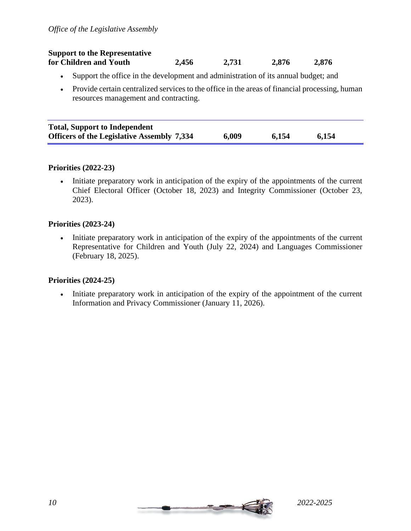## **Support to the Representative for Children and Youth 2,456 2,731 2,876 2,876**

- Support the office in the development and administration of its annual budget; and
- Provide certain centralized services to the office in the areas of financial processing, human resources management and contracting.

| <b>Total, Support to Independent</b>              |       |       |       |  |
|---------------------------------------------------|-------|-------|-------|--|
| <b>Officers of the Legislative Assembly 7,334</b> | 6,009 | 6,154 | 6,154 |  |

## <span id="page-12-0"></span>**Priorities (2022-23)**

• Initiate preparatory work in anticipation of the expiry of the appointments of the current Chief Electoral Officer (October 18, 2023) and Integrity Commissioner (October 23, 2023).

## <span id="page-12-1"></span>**Priorities (2023-24)**

• Initiate preparatory work in anticipation of the expiry of the appointments of the current Representative for Children and Youth (July 22, 2024) and Languages Commissioner (February 18, 2025).

## <span id="page-12-2"></span>**Priorities (2024-25)**

• Initiate preparatory work in anticipation of the expiry of the appointment of the current Information and Privacy Commissioner (January 11, 2026).